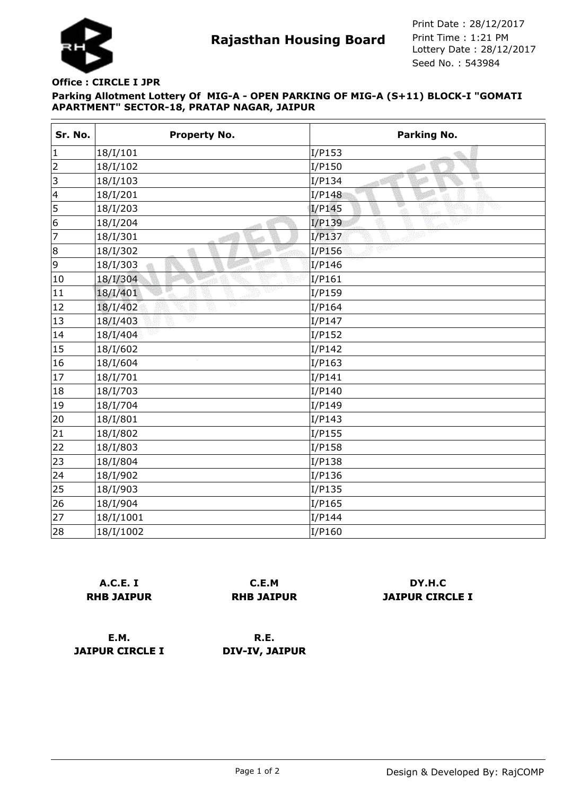

**Rajasthan Housing Board** Print Time : 1:21 PM<br>Lottery Date : 28/12/2017 Seed No. : 543984 Print Date : 28/12/2017 Print Time : 1:21 PM

## **Parking Allotment Lottery Of MIG-A - OPEN PARKING OF MIG-A (S+11) BLOCK-I "GOMATI APARTMENT" SECTOR-18, PRATAP NAGAR, JAIPUR Office : CIRCLE I JPR**

| Sr. No.        | <b>Property No.</b> | Parking No.        |
|----------------|---------------------|--------------------|
| $\vert$ 1      | 18/I/101            | I/P153             |
| $\overline{2}$ | 18/I/102            | I/P150             |
| 3              | 18/I/103            | Đ<br>I/P134<br>-at |
| $\vert$ 4      | 18/I/201            | I/P148             |
| 5              | 18/I/203            | w<br>I/P145        |
| 6              | 18/I/204            | I/P139             |
| 7              | 18/I/301            | I/P137             |
| 8              | 18/I/302            | I/P156             |
| 9              | 18/I/303            | I/P146             |
| 10             | 18/I/304            | I/P161             |
| 11             | 18/I/401            | I/P159             |
| 12             | væ<br>18/I/402      | I/P164             |
| 13             | 18/I/403            | I/P147             |
| 14             | 18/I/404            | I/P152             |
| 15             | 18/I/602            | I/P142             |
| 16             | 18/I/604            | I/P163             |
| 17             | 18/I/701            | I/P141             |
| 18             | 18/I/703            | I/P140             |
| 19             | 18/I/704            | I/P149             |
| 20             | 18/I/801            | I/P143             |
| 21             | 18/I/802            | I/P155             |
| 22             | 18/I/803            | I/P158             |
| 23             | 18/I/804            | I/P138             |
| 24             | 18/I/902            | I/P136             |
| 25             | 18/I/903            | I/P135             |
| 26             | 18/I/904            | I/P165             |
| 27             | 18/I/1001           | I/P144             |
| 28             | 18/I/1002           | I/P160             |

|                   | A.C.E. I |  |  |
|-------------------|----------|--|--|
| <b>RHB JAIPUR</b> |          |  |  |

**C.E.M RHB JAIPUR**

**DY.H.C JAIPUR CIRCLE I**

**E.M. JAIPUR CIRCLE I**

**R.E. DIV-IV, JAIPUR**